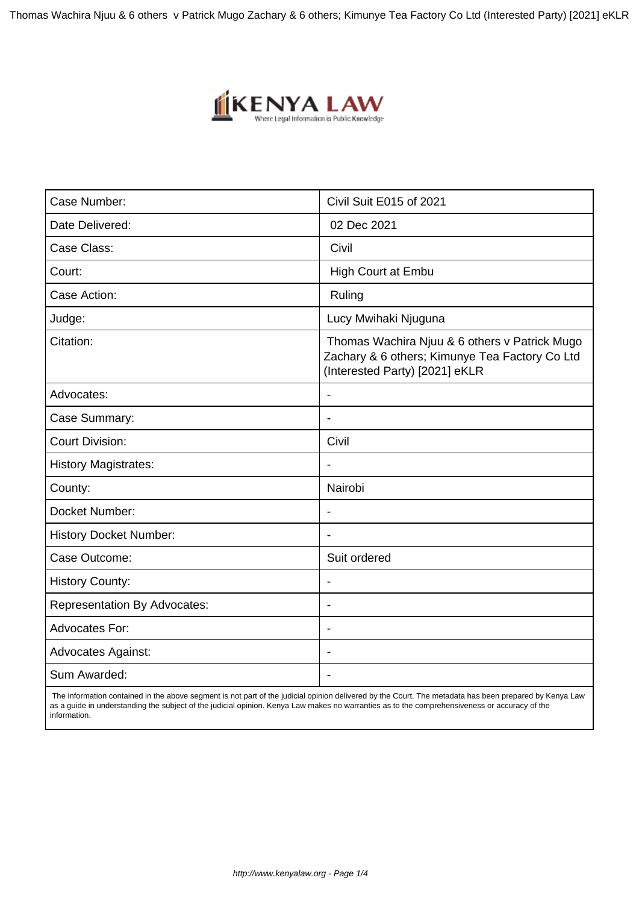Thomas Wachira Njuu & 6 others v Patrick Mugo Zachary & 6 others; Kimunye Tea Factory Co Ltd (Interested Party) [2021] eKLR



| Case Number:                        | Civil Suit E015 of 2021                                                                                                           |  |
|-------------------------------------|-----------------------------------------------------------------------------------------------------------------------------------|--|
| Date Delivered:                     | 02 Dec 2021                                                                                                                       |  |
| Case Class:                         | Civil                                                                                                                             |  |
| Court:                              | High Court at Embu                                                                                                                |  |
| Case Action:                        | Ruling                                                                                                                            |  |
| Judge:                              | Lucy Mwihaki Njuguna                                                                                                              |  |
| Citation:                           | Thomas Wachira Njuu & 6 others v Patrick Mugo<br>Zachary & 6 others; Kimunye Tea Factory Co Ltd<br>(Interested Party) [2021] eKLR |  |
| Advocates:                          |                                                                                                                                   |  |
| Case Summary:                       | $\blacksquare$                                                                                                                    |  |
| <b>Court Division:</b>              | Civil                                                                                                                             |  |
| <b>History Magistrates:</b>         |                                                                                                                                   |  |
| County:                             | Nairobi                                                                                                                           |  |
| Docket Number:                      | $\overline{\phantom{a}}$                                                                                                          |  |
| <b>History Docket Number:</b>       |                                                                                                                                   |  |
| Case Outcome:                       | Suit ordered                                                                                                                      |  |
| <b>History County:</b>              |                                                                                                                                   |  |
| <b>Representation By Advocates:</b> | $\overline{a}$                                                                                                                    |  |
| <b>Advocates For:</b>               | ÷.                                                                                                                                |  |
| <b>Advocates Against:</b>           |                                                                                                                                   |  |
| Sum Awarded:                        |                                                                                                                                   |  |

 The information contained in the above segment is not part of the judicial opinion delivered by the Court. The metadata has been prepared by Kenya Law as a guide in understanding the subject of the judicial opinion. Kenya Law makes no warranties as to the comprehensiveness or accuracy of the information.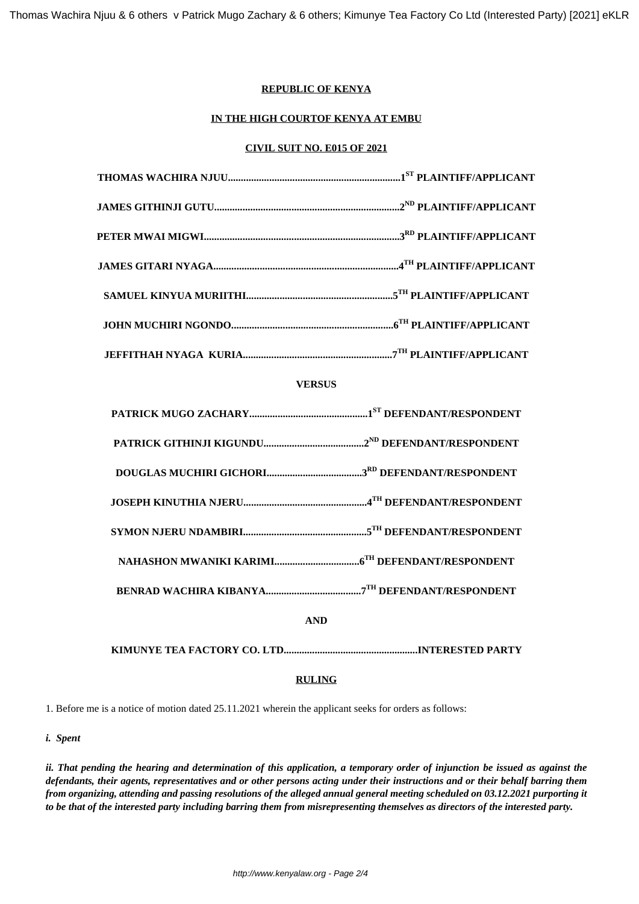# **REPUBLIC OF KENYA**

# **IN THE HIGH COURTOF KENYA AT EMBU**

#### **CIVIL SUIT NO. E015 OF 2021**

## **VERSUS**

| <b>AND</b> |  |
|------------|--|
|            |  |

# **RULING**

1. Before me is a notice of motion dated 25.11.2021 wherein the applicant seeks for orders as follows:

*i. Spent*

*ii. That pending the hearing and determination of this application, a temporary order of injunction be issued as against the defendants, their agents, representatives and or other persons acting under their instructions and or their behalf barring them from organizing, attending and passing resolutions of the alleged annual general meeting scheduled on 03.12.2021 purporting it to be that of the interested party including barring them from misrepresenting themselves as directors of the interested party.*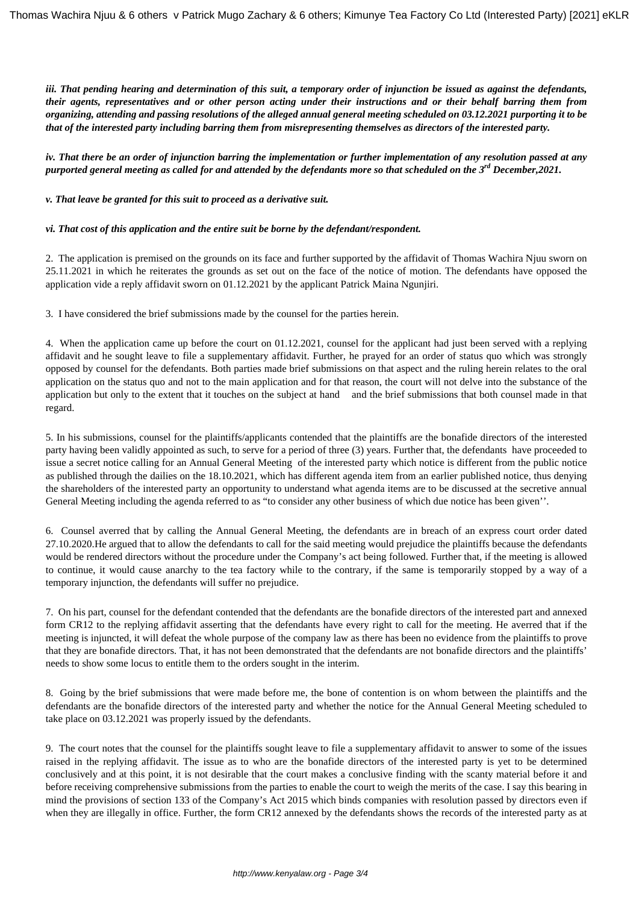*iii. That pending hearing and determination of this suit, a temporary order of injunction be issued as against the defendants, their agents, representatives and or other person acting under their instructions and or their behalf barring them from organizing, attending and passing resolutions of the alleged annual general meeting scheduled on 03.12.2021 purporting it to be that of the interested party including barring them from misrepresenting themselves as directors of the interested party.*

*iv. That there be an order of injunction barring the implementation or further implementation of any resolution passed at any purported general meeting as called for and attended by the defendants more so that scheduled on the 3rd December,2021.*

*v. That leave be granted for this suit to proceed as a derivative suit.*

#### *vi. That cost of this application and the entire suit be borne by the defendant/respondent.*

2. The application is premised on the grounds on its face and further supported by the affidavit of Thomas Wachira Njuu sworn on 25.11.2021 in which he reiterates the grounds as set out on the face of the notice of motion. The defendants have opposed the application vide a reply affidavit sworn on 01.12.2021 by the applicant Patrick Maina Ngunjiri.

3. I have considered the brief submissions made by the counsel for the parties herein.

4. When the application came up before the court on 01.12.2021, counsel for the applicant had just been served with a replying affidavit and he sought leave to file a supplementary affidavit. Further, he prayed for an order of status quo which was strongly opposed by counsel for the defendants. Both parties made brief submissions on that aspect and the ruling herein relates to the oral application on the status quo and not to the main application and for that reason, the court will not delve into the substance of the application but only to the extent that it touches on the subject at hand and the brief submissions that both counsel made in that regard.

5. In his submissions, counsel for the plaintiffs/applicants contended that the plaintiffs are the bonafide directors of the interested party having been validly appointed as such, to serve for a period of three (3) years. Further that, the defendants have proceeded to issue a secret notice calling for an Annual General Meeting of the interested party which notice is different from the public notice as published through the dailies on the 18.10.2021, which has different agenda item from an earlier published notice, thus denying the shareholders of the interested party an opportunity to understand what agenda items are to be discussed at the secretive annual General Meeting including the agenda referred to as "to consider any other business of which due notice has been given''.

6. Counsel averred that by calling the Annual General Meeting, the defendants are in breach of an express court order dated 27.10.2020.He argued that to allow the defendants to call for the said meeting would prejudice the plaintiffs because the defendants would be rendered directors without the procedure under the Company's act being followed. Further that, if the meeting is allowed to continue, it would cause anarchy to the tea factory while to the contrary, if the same is temporarily stopped by a way of a temporary injunction, the defendants will suffer no prejudice.

7. On his part, counsel for the defendant contended that the defendants are the bonafide directors of the interested part and annexed form CR12 to the replying affidavit asserting that the defendants have every right to call for the meeting. He averred that if the meeting is injuncted, it will defeat the whole purpose of the company law as there has been no evidence from the plaintiffs to prove that they are bonafide directors. That, it has not been demonstrated that the defendants are not bonafide directors and the plaintiffs' needs to show some locus to entitle them to the orders sought in the interim.

8. Going by the brief submissions that were made before me, the bone of contention is on whom between the plaintiffs and the defendants are the bonafide directors of the interested party and whether the notice for the Annual General Meeting scheduled to take place on 03.12.2021 was properly issued by the defendants.

9. The court notes that the counsel for the plaintiffs sought leave to file a supplementary affidavit to answer to some of the issues raised in the replying affidavit. The issue as to who are the bonafide directors of the interested party is yet to be determined conclusively and at this point, it is not desirable that the court makes a conclusive finding with the scanty material before it and before receiving comprehensive submissions from the parties to enable the court to weigh the merits of the case. I say this bearing in mind the provisions of section 133 of the Company's Act 2015 which binds companies with resolution passed by directors even if when they are illegally in office. Further, the form CR12 annexed by the defendants shows the records of the interested party as at